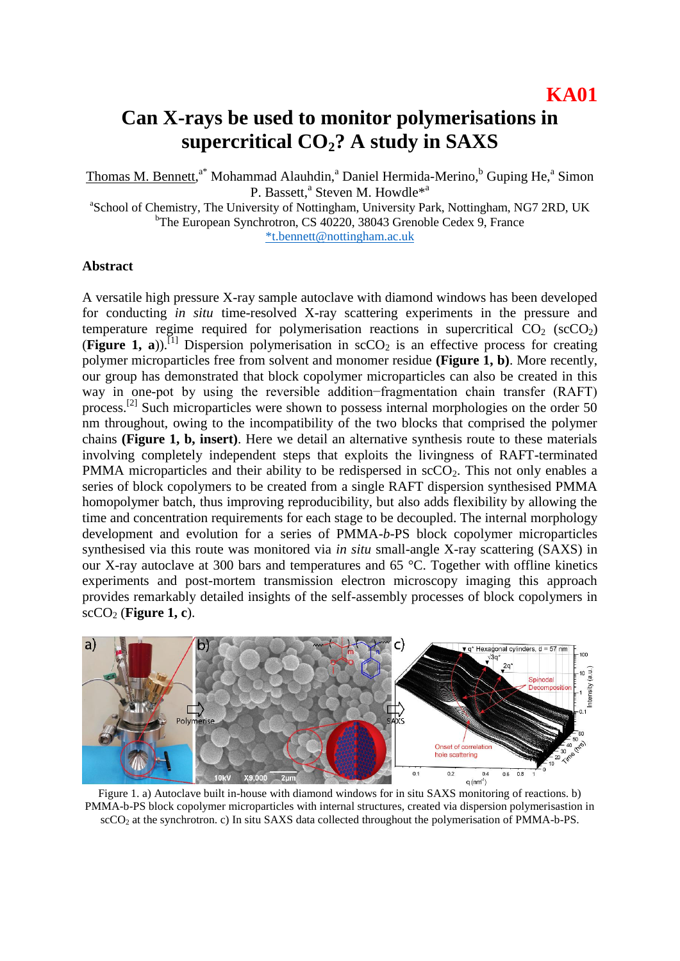**KA01**

## **Can X-rays be used to monitor polymerisations in supercritical CO2? A study in SAXS**

Thomas M. Bennett,<sup>a\*</sup> Mohammad Alauhdin,<sup>a</sup> Daniel Hermida-Merino,<sup>b</sup> Guping He,<sup>a</sup> Simon P. Bassett,<sup>a</sup> Steven M. Howdle<sup>\*a</sup> <sup>a</sup>School of Chemistry, The University of Nottingham, University Park, Nottingham, NG7 2RD, UK

<sup>b</sup>The European Synchrotron, CS 40220, 38043 Grenoble Cedex 9, France [\\*t.bennett@nottingham.ac.uk](mailto:*t.bennett@nottingham.ac.uk)

## **Abstract**

A versatile high pressure X-ray sample autoclave with diamond windows has been developed for conducting *in situ* time-resolved X-ray scattering experiments in the pressure and temperature regime required for polymerisation reactions in supercritical  $CO<sub>2</sub>$  (scCO<sub>2</sub>) (**Figure 1, a**)).<sup>[1]</sup> Dispersion polymerisation in  $\sec O_2$  is an effective process for creating polymer microparticles free from solvent and monomer residue **(Figure 1, b)**. More recently, our group has demonstrated that block copolymer microparticles can also be created in this way in one-pot by using the reversible addition−fragmentation chain transfer (RAFT) process.<sup>[2]</sup> Such microparticles were shown to possess internal morphologies on the order 50 nm throughout, owing to the incompatibility of the two blocks that comprised the polymer chains **(Figure 1, b, insert)**. Here we detail an alternative synthesis route to these materials involving completely independent steps that exploits the livingness of RAFT-terminated PMMA microparticles and their ability to be redispersed in  $\sec O_2$ . This not only enables a series of block copolymers to be created from a single RAFT dispersion synthesised PMMA homopolymer batch, thus improving reproducibility, but also adds flexibility by allowing the time and concentration requirements for each stage to be decoupled. The internal morphology development and evolution for a series of PMMA-*b*-PS block copolymer microparticles synthesised via this route was monitored via *in situ* small-angle X-ray scattering (SAXS) in our X-ray autoclave at 300 bars and temperatures and 65 °C. Together with offline kinetics experiments and post-mortem transmission electron microscopy imaging this approach provides remarkably detailed insights of the self-assembly processes of block copolymers in scCO<sup>2</sup> (**Figure 1, c**).



Figure 1. a) Autoclave built in-house with diamond windows for in situ SAXS monitoring of reactions. b) PMMA-b-PS block copolymer microparticles with internal structures, created via dispersion polymerisastion in scCO<sub>2</sub> at the synchrotron. c) In situ SAXS data collected throughout the polymerisation of PMMA-b-PS.